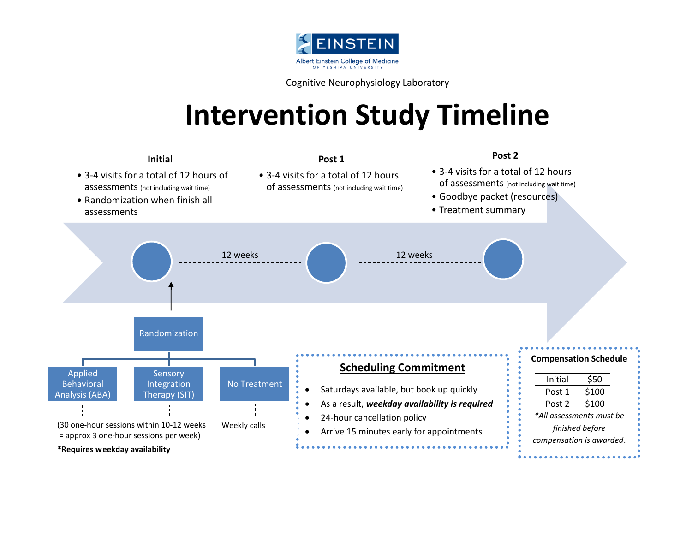

Cognitive Neurophysiology Laboratory

## **Intervention Study Timeline**